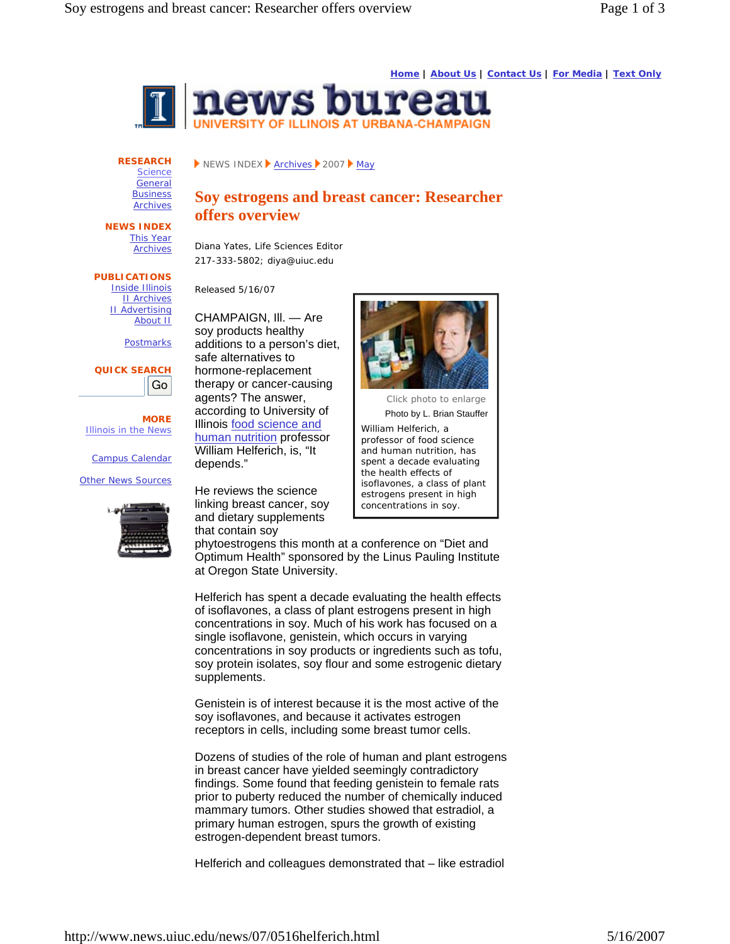**Home | About Us | Contact Us | For Media | Text Only**



**RESEARCH Science** General **Business** 

**Archives** 

NEWS INDEX **Archives** 2007 May

## **Soy estrogens and breast cancer: Researcher offers overview**

**NEWS INDEX** This Year Archives

**PUBLICATIONS** Inside Illinois II Archives II Advertising About II

**Postmarks** 

**QUICK SEARCH** Go

**MORE** Illinois in the News

Campus Calendar

Other News Sources



Diana Yates, Life Sciences Editor 217-333-5802; diya@uiuc.edu

Released 5/16/07

CHAMPAIGN, Ill. — Are soy products healthy additions to a person's diet, safe alternatives to hormone-replacement therapy or cancer-causing agents? The answer, according to University of Illinois food science and human nutrition professor William Helferich, is, "It depends."

He reviews the science linking breast cancer, soy and dietary supplements that contain soy



*Click photo to enlarge* Photo by L. Brian Stauffer

William Helferich, a professor of food science and human nutrition, has spent a decade evaluating the health effects of isoflavones, a class of plant estrogens present in high concentrations in soy.

phytoestrogens this month at a conference on "Diet and Optimum Health" sponsored by the Linus Pauling Institute at Oregon State University.

Helferich has spent a decade evaluating the health effects of isoflavones, a class of plant estrogens present in high concentrations in soy. Much of his work has focused on a single isoflavone, genistein, which occurs in varying concentrations in soy products or ingredients such as tofu, soy protein isolates, soy flour and some estrogenic dietary supplements.

Genistein is of interest because it is the most active of the soy isoflavones, and because it activates estrogen receptors in cells, including some breast tumor cells.

Dozens of studies of the role of human and plant estrogens in breast cancer have yielded seemingly contradictory findings. Some found that feeding genistein to female rats prior to puberty reduced the number of chemically induced mammary tumors. Other studies showed that estradiol, a primary human estrogen, spurs the growth of existing estrogen-dependent breast tumors.

Helferich and colleagues demonstrated that – like estradiol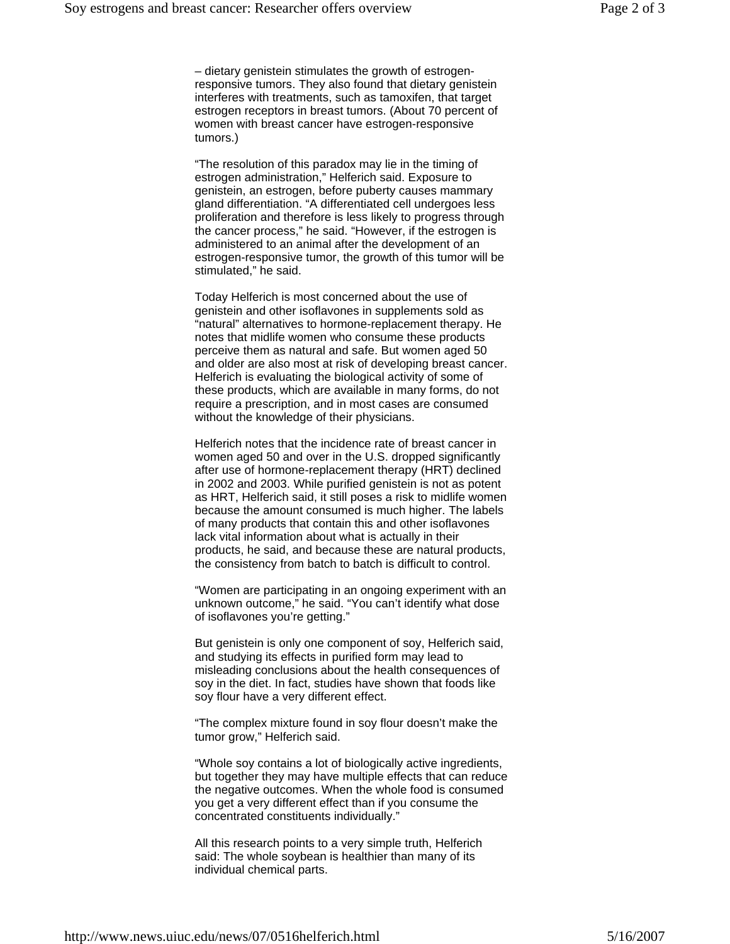– dietary genistein stimulates the growth of estrogenresponsive tumors. They also found that dietary genistein interferes with treatments, such as tamoxifen, that target estrogen receptors in breast tumors. (About 70 percent of women with breast cancer have estrogen-responsive tumors.)

"The resolution of this paradox may lie in the timing of estrogen administration," Helferich said. Exposure to genistein, an estrogen, before puberty causes mammary gland differentiation. "A differentiated cell undergoes less proliferation and therefore is less likely to progress through the cancer process," he said. "However, if the estrogen is administered to an animal after the development of an estrogen-responsive tumor, the growth of this tumor will be stimulated," he said.

Today Helferich is most concerned about the use of genistein and other isoflavones in supplements sold as "natural" alternatives to hormone-replacement therapy. He notes that midlife women who consume these products perceive them as natural and safe. But women aged 50 and older are also most at risk of developing breast cancer. Helferich is evaluating the biological activity of some of these products, which are available in many forms, do not require a prescription, and in most cases are consumed without the knowledge of their physicians.

Helferich notes that the incidence rate of breast cancer in women aged 50 and over in the U.S. dropped significantly after use of hormone-replacement therapy (HRT) declined in 2002 and 2003. While purified genistein is not as potent as HRT, Helferich said, it still poses a risk to midlife women because the amount consumed is much higher. The labels of many products that contain this and other isoflavones lack vital information about what is actually in their products, he said, and because these are natural products, the consistency from batch to batch is difficult to control.

"Women are participating in an ongoing experiment with an unknown outcome," he said. "You can't identify what dose of isoflavones you're getting."

But genistein is only one component of soy, Helferich said, and studying its effects in purified form may lead to misleading conclusions about the health consequences of soy in the diet. In fact, studies have shown that foods like soy flour have a very different effect.

"The complex mixture found in soy flour doesn't make the tumor grow," Helferich said.

"Whole soy contains a lot of biologically active ingredients, but together they may have multiple effects that can reduce the negative outcomes. When the whole food is consumed you get a very different effect than if you consume the concentrated constituents individually."

All this research points to a very simple truth, Helferich said: The whole soybean is healthier than many of its individual chemical parts.